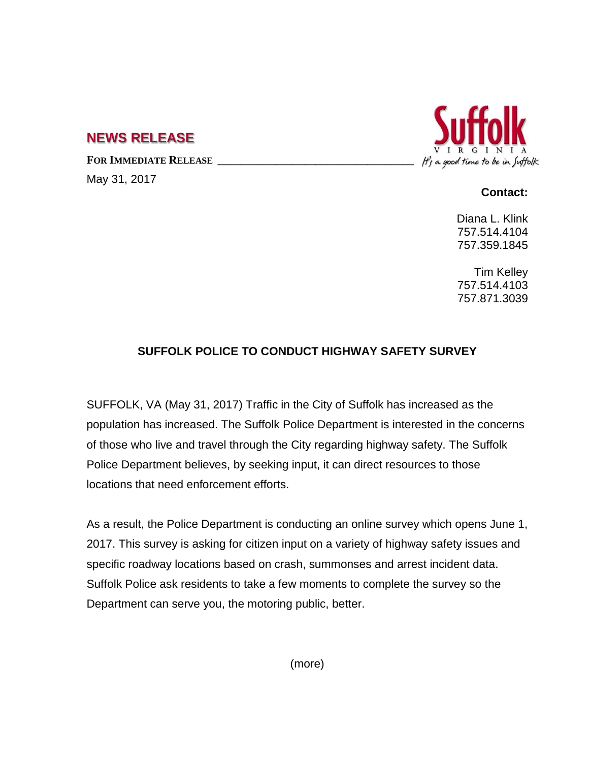## **NEWS RELEASE**

**FOR IMMEDIATE RELEASE \_\_\_\_\_\_\_\_\_\_\_\_\_\_\_\_\_\_\_\_\_\_\_\_\_\_\_\_\_\_\_\_\_\_**

May 31, 2017



**Contact:**

Diana L. Klink 757.514.4104 757.359.1845

Tim Kelley 757.514.4103 757.871.3039

## **SUFFOLK POLICE TO CONDUCT HIGHWAY SAFETY SURVEY**

SUFFOLK, VA (May 31, 2017) Traffic in the City of Suffolk has increased as the population has increased. The Suffolk Police Department is interested in the concerns of those who live and travel through the City regarding highway safety. The Suffolk Police Department believes, by seeking input, it can direct resources to those locations that need enforcement efforts.

As a result, the Police Department is conducting an online survey which opens June 1, 2017. This survey is asking for citizen input on a variety of highway safety issues and specific roadway locations based on crash, summonses and arrest incident data. Suffolk Police ask residents to take a few moments to complete the survey so the Department can serve you, the motoring public, better.

(more)